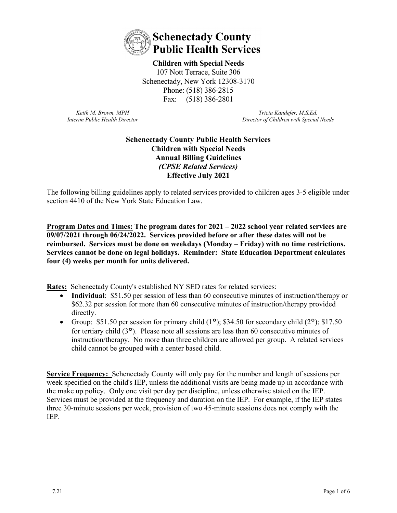

**Children with Special Needs**  107 Nott Terrace, Suite 306 Schenectady, New York 12308-3170 Phone: (518) 386-2815 Fax: (518) 386-2801

*Keith M. Brown, MPH Interim Public Health Director*

*Tricia Kandefer, M.S.Ed. Director of Children with Special Needs*

## **Schenectady County Public Health Services Children with Special Needs Annual Billing Guidelines** *(CPSE Related Services)* **Effective July 2021**

The following billing guidelines apply to related services provided to children ages 3-5 eligible under section 4410 of the New York State Education Law.

**Program Dates and Times: The program dates for 2021 – 2022 school year related services are 09/07/2021 through 06/24/2022. Services provided before or after these dates will not be reimbursed. Services must be done on weekdays (Monday – Friday) with no time restrictions. Services cannot be done on legal holidays. Reminder: State Education Department calculates four (4) weeks per month for units delivered.**

**Rates:** Schenectady County's established NY SED rates for related services:

- **Individual:** \$51.50 per session of less than 60 consecutive minutes of instruction/therapy or \$62.32 per session for more than 60 consecutive minutes of instruction/therapy provided directly.
- Group: \$51.50 per session for primary child  $(1^{\circ})$ ; \$34.50 for secondary child  $(2^{\circ})$ ; \$17.50 for tertiary child  $(3^{\circ})$ . Please note all sessions are less than 60 consecutive minutes of instruction/therapy. No more than three children are allowed per group. A related services child cannot be grouped with a center based child.

**Service Frequency:** Schenectady County will only pay for the number and length of sessions per week specified on the child's IEP, unless the additional visits are being made up in accordance with the make up policy. Only one visit per day per discipline, unless otherwise stated on the IEP. Services must be provided at the frequency and duration on the IEP. For example, if the IEP states three 30-minute sessions per week, provision of two 45-minute sessions does not comply with the IEP.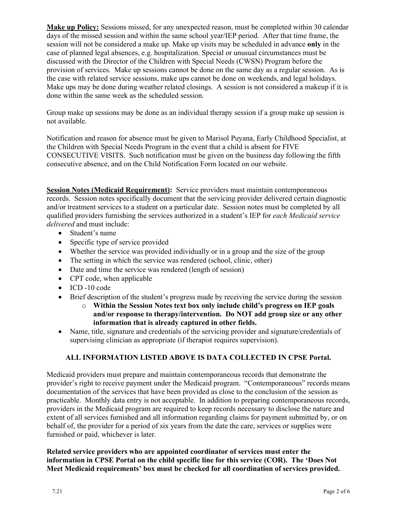**Make up Policy:** Sessions missed, for any unexpected reason, must be completed within 30 calendar days of the missed session and within the same school year/IEP period. After that time frame, the session will not be considered a make up. Make up visits may be scheduled in advance **only** in the case of planned legal absences, e.g. hospitalization. Special or unusual circumstances must be discussed with the Director of the Children with Special Needs (CWSN) Program before the provision of services. Make up sessions cannot be done on the same day as a regular session. As is the case with related service sessions, make ups cannot be done on weekends, and legal holidays. Make ups may be done during weather related closings. A session is not considered a makeup if it is done within the same week as the scheduled session.

Group make up sessions may be done as an individual therapy session if a group make up session is not available.

Notification and reason for absence must be given to Marisol Puyana, Early Childhood Specialist, at the Children with Special Needs Program in the event that a child is absent for FIVE CONSECUTIVE VISITS. Such notification must be given on the business day following the fifth consecutive absence, and on the Child Notification Form located on our website.

**Session Notes (Medicaid Requirement):** Service providers must maintain contemporaneous records. Session notes specifically document that the servicing provider delivered certain diagnostic and/or treatment services to a student on a particular date. Session notes must be completed by all qualified providers furnishing the services authorized in a student's IEP for *each Medicaid service delivered* and must include:

- Student's name
- Specific type of service provided
- Whether the service was provided individually or in a group and the size of the group
- The setting in which the service was rendered (school, clinic, other)
- Date and time the service was rendered (length of session)
- CPT code, when applicable
- ICD -10 code
- Brief description of the student's progress made by receiving the service during the session
	- o **Within the Session Notes text box only include child's progress on IEP goals and/or response to therapy/intervention. Do NOT add group size or any other information that is already captured in other fields.**
- Name, title, signature and credentials of the servicing provider and signature/credentials of supervising clinician as appropriate (if therapist requires supervision).

#### **ALL INFORMATION LISTED ABOVE IS DATA COLLECTED IN CPSE Portal.**

Medicaid providers must prepare and maintain contemporaneous records that demonstrate the provider's right to receive payment under the Medicaid program. "Contemporaneous" records means documentation of the services that have been provided as close to the conclusion of the session as practicable. Monthly data entry is not acceptable. In addition to preparing contemporaneous records, providers in the Medicaid program are required to keep records necessary to disclose the nature and extent of all services furnished and all information regarding claims for payment submitted by, or on behalf of, the provider for a period of six years from the date the care, services or supplies were furnished or paid, whichever is later.

**Related service providers who are appointed coordinator of services must enter the information in CPSE Portal on the child specific line for this service (COR). The 'Does Not Meet Medicaid requirements' box must be checked for all coordination of services provided.**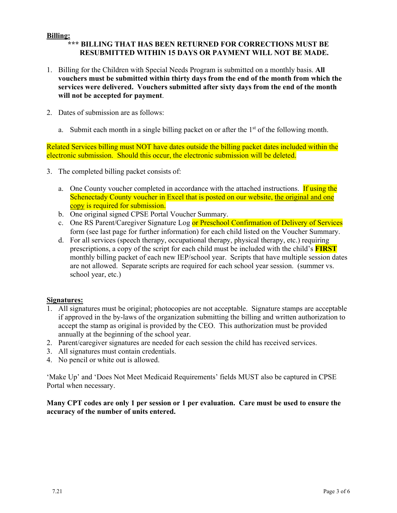#### **Billing:**

# **\*\*\* BILLING THAT HAS BEEN RETURNED FOR CORRECTIONS MUST BE RESUBMITTED WITHIN 15 DAYS OR PAYMENT WILL NOT BE MADE.**

- 1. Billing for the Children with Special Needs Program is submitted on a monthly basis. **All vouchers must be submitted within thirty days from the end of the month from which the services were delivered. Vouchers submitted after sixty days from the end of the month will not be accepted for payment**.
- 2. Dates of submission are as follows:
	- a. Submit each month in a single billing packet on or after the  $1<sup>st</sup>$  of the following month.

Related Services billing must NOT have dates outside the billing packet dates included within the electronic submission. Should this occur, the electronic submission will be deleted.

- 3. The completed billing packet consists of:
	- a. One County voucher completed in accordance with the attached instructions. If using the Schenectady County voucher in Excel that is posted on our website, the original and one copy is required for submission.
	- b. One original signed CPSE Portal Voucher Summary.
	- c. One RS Parent/Caregiver Signature Log or Preschool Confirmation of Delivery of Services form (see last page for further information) for each child listed on the Voucher Summary.
	- d. For all services (speech therapy, occupational therapy, physical therapy, etc.) requiring prescriptions, a copy of the script for each child must be included with the child's **FIRST** monthly billing packet of each new IEP/school year. Scripts that have multiple session dates are not allowed. Separate scripts are required for each school year session. (summer vs. school year, etc.)

#### **Signatures:**

- 1. All signatures must be original; photocopies are not acceptable. Signature stamps are acceptable if approved in the by-laws of the organization submitting the billing and written authorization to accept the stamp as original is provided by the CEO. This authorization must be provided annually at the beginning of the school year.
- 2. Parent/caregiver signatures are needed for each session the child has received services.
- 3. All signatures must contain credentials.
- 4. No pencil or white out is allowed.

'Make Up' and 'Does Not Meet Medicaid Requirements' fields MUST also be captured in CPSE Portal when necessary.

#### **Many CPT codes are only 1 per session or 1 per evaluation. Care must be used to ensure the accuracy of the number of units entered.**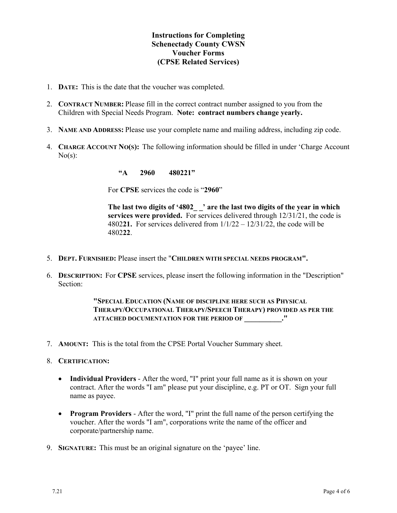# **Instructions for Completing Schenectady County CWSN Voucher Forms (CPSE Related Services)**

- 1. **DATE:** This is the date that the voucher was completed.
- 2. **CONTRACT NUMBER:** Please fill in the correct contract number assigned to you from the Children with Special Needs Program. **Note: contract numbers change yearly.**
- 3. **NAME AND ADDRESS:** Please use your complete name and mailing address, including zip code.
- 4. **CHARGE ACCOUNT NO(S):** The following information should be filled in under 'Charge Account  $No(s)$ :

**"A 2960 480221"**

For **CPSE** services the code is "**2960**"

**The last two digits of '4802\_ \_' are the last two digits of the year in which services were provided.** For services delivered through 12/31/21, the code is 4802**21.** For services delivered from 1/1/22 – 12/31/22, the code will be 4802**22**.

- 5. **DEPT. FURNISHED:** Please insert the "**CHILDREN WITH SPECIAL NEEDS PROGRAM".**
- 6. **DESCRIPTION:** For **CPSE** services, please insert the following information in the "Description" Section:

**"SPECIAL EDUCATION (NAME OF DISCIPLINE HERE SUCH AS PHYSICAL THERAPY/OCCUPATIONAL THERAPY/SPEECH THERAPY) PROVIDED AS PER THE ATTACHED DOCUMENTATION FOR THE PERIOD OF \_\_\_\_\_\_\_\_\_\_."**

- 7. **AMOUNT:** This is the total from the CPSE Portal Voucher Summary sheet.
- 8. **CERTIFICATION:** 
	- **Individual Providers** After the word, "I" print your full name as it is shown on your contract. After the words "I am" please put your discipline, e.g. PT or OT. Sign your full name as payee.
	- **Program Providers** After the word, "I" print the full name of the person certifying the voucher. After the words "I am", corporations write the name of the officer and corporate/partnership name.
- 9. **SIGNATURE:** This must be an original signature on the 'payee' line.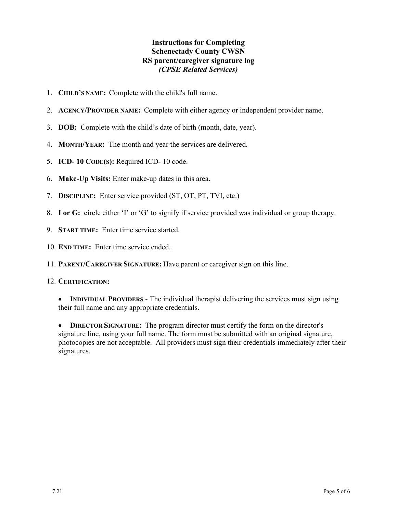## **Instructions for Completing Schenectady County CWSN RS parent/caregiver signature log** *(CPSE Related Services)*

- 1. **CHILD'S NAME:** Complete with the child's full name.
- 2. **AGENCY/PROVIDER NAME:** Complete with either agency or independent provider name.
- 3. **DOB:** Complete with the child's date of birth (month, date, year).
- 4. **MONTH/YEAR:** The month and year the services are delivered.
- 5. **ICD- 10 CODE(S):** Required ICD- 10 code.
- 6. **Make-Up Visits:** Enter make-up dates in this area.
- 7. **DISCIPLINE:** Enter service provided (ST, OT, PT, TVI, etc.)
- 8. **I or G:** circle either 'I' or 'G' to signify if service provided was individual or group therapy.
- 9. **START TIME:** Enter time service started.
- 10. **END TIME:** Enter time service ended.
- 11. **PARENT/CAREGIVER SIGNATURE:** Have parent or caregiver sign on this line.

#### 12. **CERTIFICATION:**

• **INDIVIDUAL PROVIDERS** - The individual therapist delivering the services must sign using their full name and any appropriate credentials.

• **DIRECTOR SIGNATURE:** The program director must certify the form on the director's signature line, using your full name. The form must be submitted with an original signature, photocopies are not acceptable. All providers must sign their credentials immediately after their signatures.